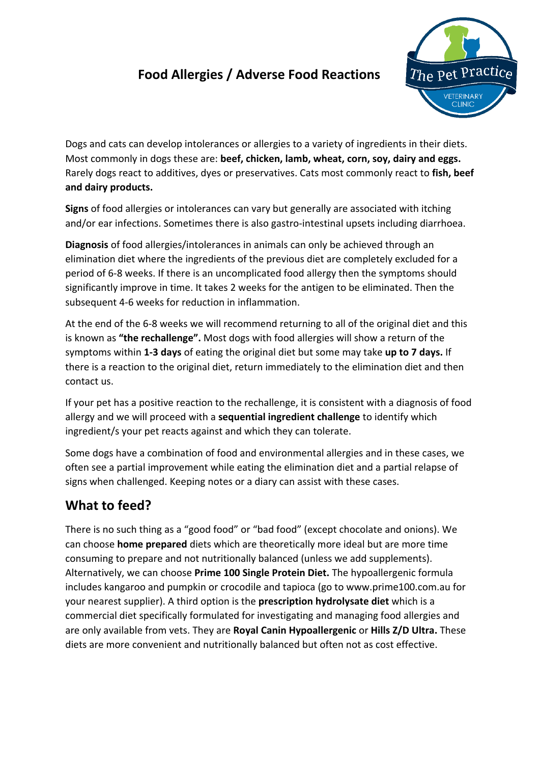## **Food Allergies / Adverse Food Reactions**



Dogs and cats can develop intolerances or allergies to a variety of ingredients in their diets. Most commonly in dogs these are: **beef, chicken, lamb, wheat, corn, soy, dairy and eggs.**  Rarely dogs react to additives, dyes or preservatives. Cats most commonly react to **fish, beef and dairy products.** 

**Signs** of food allergies or intolerances can vary but generally are associated with itching and/or ear infections. Sometimes there is also gastro-intestinal upsets including diarrhoea.

**Diagnosis** of food allergies/intolerances in animals can only be achieved through an elimination diet where the ingredients of the previous diet are completely excluded for a period of 6-8 weeks. If there is an uncomplicated food allergy then the symptoms should significantly improve in time. It takes 2 weeks for the antigen to be eliminated. Then the subsequent 4-6 weeks for reduction in inflammation.

At the end of the 6-8 weeks we will recommend returning to all of the original diet and this is known as **"the rechallenge".** Most dogs with food allergies will show a return of the symptoms within **1-3 days** of eating the original diet but some may take **up to 7 days.** If there is a reaction to the original diet, return immediately to the elimination diet and then contact us.

If your pet has a positive reaction to the rechallenge, it is consistent with a diagnosis of food allergy and we will proceed with a **sequential ingredient challenge** to identify which ingredient/s your pet reacts against and which they can tolerate.

Some dogs have a combination of food and environmental allergies and in these cases, we often see a partial improvement while eating the elimination diet and a partial relapse of signs when challenged. Keeping notes or a diary can assist with these cases.

## **What to feed?**

There is no such thing as a "good food" or "bad food" (except chocolate and onions). We can choose **home prepared** diets which are theoretically more ideal but are more time consuming to prepare and not nutritionally balanced (unless we add supplements). Alternatively, we can choose **Prime 100 Single Protein Diet.** The hypoallergenic formula includes kangaroo and pumpkin or crocodile and tapioca (go to www.prime100.com.au for your nearest supplier). A third option is the **prescription hydrolysate diet** which is a commercial diet specifically formulated for investigating and managing food allergies and are only available from vets. They are **Royal Canin Hypoallergenic** or **Hills Z/D Ultra.** These diets are more convenient and nutritionally balanced but often not as cost effective.